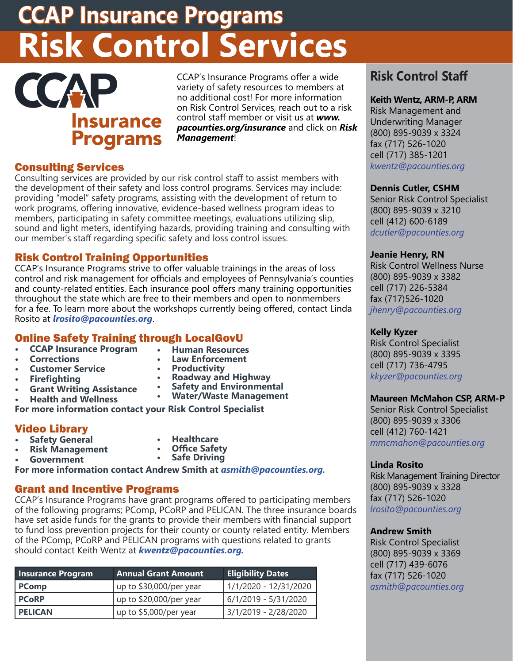## **CCAP Insurance Programs Risk Control Services**

# **Insurance Programs**

CCAP's Insurance Programs offer a wide variety of safety resources to members at no additional cost! For more information on Risk Control Services, reach out to a risk control staff member or visit us at *www. pacounties.org/insurance* and click on *Risk Management*!

#### Consulting Services

Consulting services are provided by our risk control staff to assist members with the development of their safety and loss control programs. Services may include: providing "model" safety programs, assisting with the development of return to work programs, offering innovative, evidence-based wellness program ideas to members, participating in safety committee meetings, evaluations utilizing slip, sound and light meters, identifying hazards, providing training and consulting with our member's staff regarding specific safety and loss control issues.

#### Risk Control Training Opportunities

CCAP's Insurance Programs strive to offer valuable trainings in the areas of loss control and risk management for officials and employees of Pennsylvania's counties and county-related entities. Each insurance pool offers many training opportunities throughout the state which are free to their members and open to nonmembers for a fee. To learn more about the workshops currently being offered, contact Linda Rosito at *[lrosito@pacounties.org](mailto:lrosito%40pacounties.org?subject=lrosito%40pacounties.org)*.

## Online Safety Training through LocalGovU

- **• CCAP Insurance Program**
- **• Corrections**
- **• Human Resources • Law Enforcement • Productivity**

**• Roadway and Highway • Safety and Environmental • Water/Waste Management** 

- **• Customer Service**
- **• Firefighting**
- **• Grant Writing Assistance**
- **• Health and Wellness**
- **For more information contact your Risk Control Specialist**

#### Video Library

- **• Safety General**
- **• Healthcare • Office Safety**
- **• Risk Management • Government**
- 
- **• Safe Driving**

**For more information contact Andrew Smith at** *[asmith@pacounties.org](mailto:asmith%40pacounties.org?subject=asmith%40pacounties.org).* 

#### Grant and Incentive Programs

CCAP's Insurance Programs have grant programs offered to participating members of the following programs; PComp, PCoRP and PELICAN. The three insurance boards have set aside funds for the grants to provide their members with financial support to fund loss prevention projects for their county or county related entity. Members of the PComp, PCoRP and PELICAN programs with questions related to grants should contact Keith Wentz at *[kwentz@pacounties.org](mailto:kwentz%40pacounties.org?subject=kwentz%40pacounties.org).*

| <b>Insurance Program</b> | <b>Annual Grant Amount</b> | <b>Eligibility Dates</b> |
|--------------------------|----------------------------|--------------------------|
| <b>PComp</b>             | up to \$30,000/per year    | 1/1/2020 - 12/31/2020    |
| <b>PCoRP</b>             | up to \$20,000/per year    | $6/1/2019 - 5/31/2020$   |
| I PELICAN                | up to \$5,000/per year     | 3/1/2019 - 2/28/2020     |

### **Risk Control Staff**

#### **Keith Wentz, ARM-P, ARM**

Risk Management and Underwriting Manager (800) 895-9039 x 3324 fax (717) 526-1020 cell (717) 385-1201 *kwentz@pacounties.org*

#### **Dennis Cutler, CSHM**

Senior Risk Control Specialist (800) 895-9039 x 3210 cell (412) 600-6189 *dcutler@pacounties.org*

#### **Jeanie Henry, RN**

Risk Control Wellness Nurse (800) 895-9039 x 3382 cell (717) 226-5384 fax (717)526-1020 *jhenry@pacounties.org*

#### **Kelly Kyzer**

Risk Control Specialist (800) 895-9039 x 3395 cell (717) 736-4795 *kkyzer@pacounties.org*

#### **Maureen McMahon CSP, ARM-P**

Senior Risk Control Specialist (800) 895-9039 x 3306 cell (412) 760-1421 *mmcmahon@pacounties.org*

#### **Linda Rosito**

Risk Management Training Director (800) 895-9039 x 3328 fax (717) 526-1020 *lrosito@pacounties.org*

#### **Andrew Smith**

Risk Control Specialist (800) 895-9039 x 3369 cell (717) 439-6076 fax (717) 526-1020 *asmith@pacounties.org*